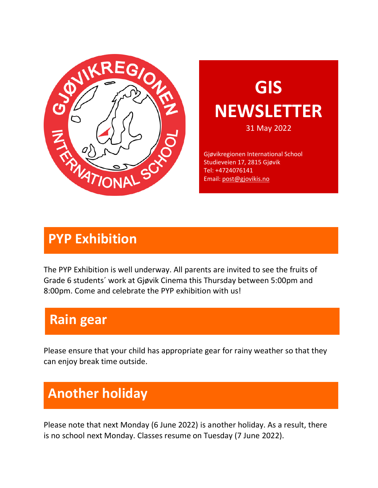

# **GIS NEWSLETTER**

31 May 2022

Gjøvikregionen International School Studieveien 17, 2815 Gjøvik Tel: +4724076141 Email: [post@gjovikis.no](mailto:post@gjovikis.no)

#### **PYP Exhibition**

The PYP Exhibition is well underway. All parents are invited to see the fruits of Grade 6 students´ work at Gjøvik Cinema this Thursday between 5:00pm and 8:00pm. Come and celebrate the PYP exhibition with us!

## **Rain gear**

Please ensure that your child has appropriate gear for rainy weather so that they can enjoy break time outside.

## **Another holiday**

Please note that next Monday (6 June 2022) is another holiday. As a result, there is no school next Monday. Classes resume on Tuesday (7 June 2022).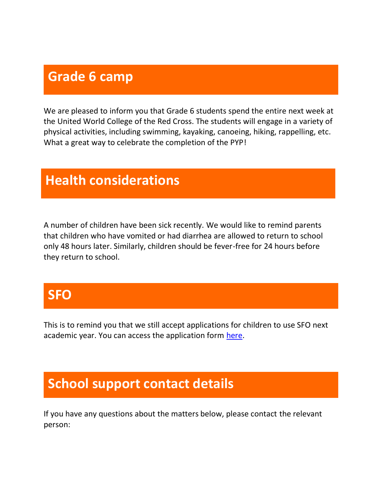#### **Grade 6 camp**

We are pleased to inform you that Grade 6 students spend the entire next week at the United World College of the Red Cross. The students will engage in a variety of physical activities, including swimming, kayaking, canoeing, hiking, rappelling, etc. What a great way to celebrate the completion of the PYP!

### **Health considerations**

A number of children have been sick recently. We would like to remind parents that children who have vomited or had diarrhea are allowed to return to school only 48 hours later. Similarly, children should be fever-free for 24 hours before they return to school.

#### **SFO**

This is to remind you that we still accept applications for children to use SFO next academic year. You can access the application form [here.](http://www.gjovikis.no/wp-content/uploads/2022/03/Grade-2-4-SFO-application-form.pdf)

# **School support contact details**

If you have any questions about the matters below, please contact the relevant person: